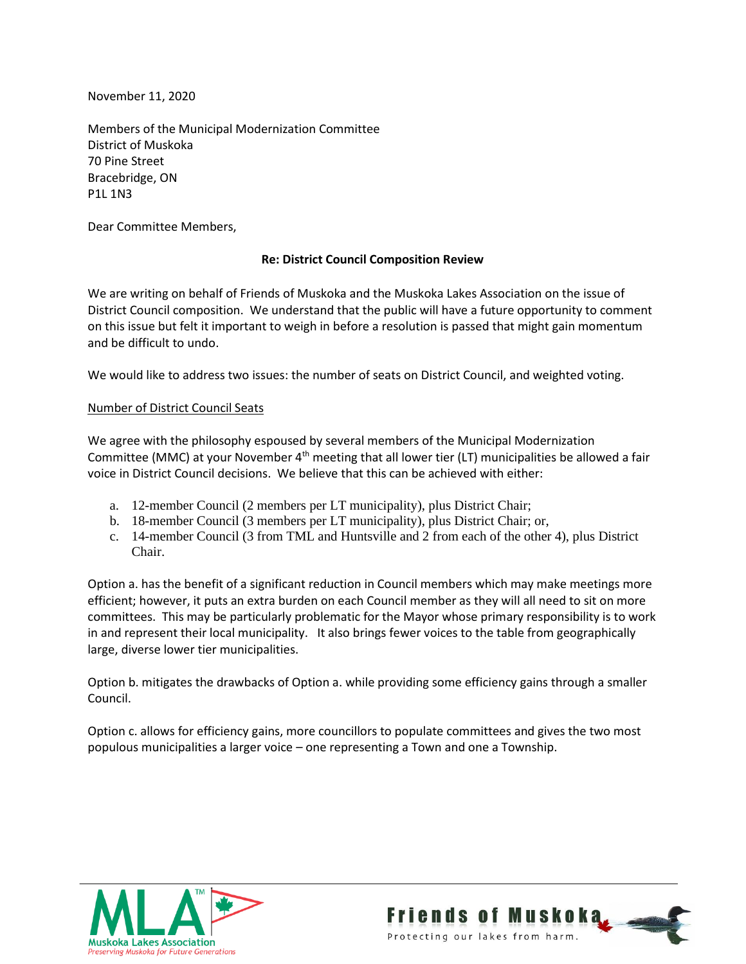November 11, 2020

Members of the Municipal Modernization Committee District of Muskoka 70 Pine Street Bracebridge, ON P1L 1N3

Dear Committee Members,

## **Re: District Council Composition Review**

We are writing on behalf of Friends of Muskoka and the Muskoka Lakes Association on the issue of District Council composition. We understand that the public will have a future opportunity to comment on this issue but felt it important to weigh in before a resolution is passed that might gain momentum and be difficult to undo.

We would like to address two issues: the number of seats on District Council, and weighted voting.

## Number of District Council Seats

We agree with the philosophy espoused by several members of the Municipal Modernization Committee (MMC) at your November  $4<sup>th</sup>$  meeting that all lower tier (LT) municipalities be allowed a fair voice in District Council decisions. We believe that this can be achieved with either:

- a. 12-member Council (2 members per LT municipality), plus District Chair;
- b. 18-member Council (3 members per LT municipality), plus District Chair; or,
- c. 14-member Council (3 from TML and Huntsville and 2 from each of the other 4), plus District Chair.

Option a. has the benefit of a significant reduction in Council members which may make meetings more efficient; however, it puts an extra burden on each Council member as they will all need to sit on more committees. This may be particularly problematic for the Mayor whose primary responsibility is to work in and represent their local municipality. It also brings fewer voices to the table from geographically large, diverse lower tier municipalities.

Option b. mitigates the drawbacks of Option a. while providing some efficiency gains through a smaller Council.

Option c. allows for efficiency gains, more councillors to populate committees and gives the two most populous municipalities a larger voice – one representing a Town and one a Township.